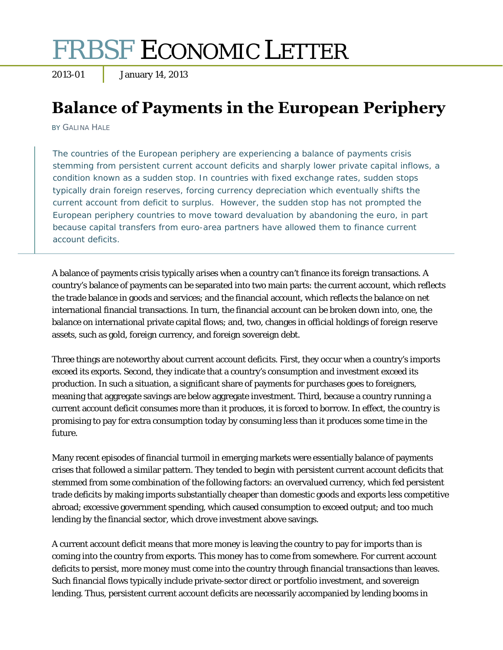# FRBSF ECONOMIC LETTER

2013-01 January 14, 2013

# **Balance of Payments in the European Periphery**

BY GALINA HALE

The countries of the European periphery are experiencing a balance of payments crisis stemming from persistent current account deficits and sharply lower private capital inflows, a condition known as a sudden stop. In countries with fixed exchange rates, sudden stops typically drain foreign reserves, forcing currency depreciation which eventually shifts the current account from deficit to surplus. However, the sudden stop has not prompted the European periphery countries to move toward devaluation by abandoning the euro, in part because capital transfers from euro-area partners have allowed them to finance current account deficits.

A balance of payments crisis typically arises when a country can't finance its foreign transactions. A country's balance of payments can be separated into two main parts: the current account, which reflects the trade balance in goods and services; and the financial account, which reflects the balance on net international financial transactions. In turn, the financial account can be broken down into, one, the balance on international private capital flows; and, two, changes in official holdings of foreign reserve assets, such as gold, foreign currency, and foreign sovereign debt.

Three things are noteworthy about current account deficits. First, they occur when a country's imports exceed its exports. Second, they indicate that a country's consumption and investment exceed its production. In such a situation, a significant share of payments for purchases goes to foreigners, meaning that aggregate savings are below aggregate investment. Third, because a country running a current account deficit consumes more than it produces, it is forced to borrow. In effect, the country is promising to pay for extra consumption today by consuming less than it produces some time in the future.

Many recent episodes of financial turmoil in emerging markets were essentially balance of payments crises that followed a similar pattern. They tended to begin with persistent current account deficits that stemmed from some combination of the following factors: an overvalued currency, which fed persistent trade deficits by making imports substantially cheaper than domestic goods and exports less competitive abroad; excessive government spending, which caused consumption to exceed output; and too much lending by the financial sector, which drove investment above savings.

A current account deficit means that more money is leaving the country to pay for imports than is coming into the country from exports. This money has to come from somewhere. For current account deficits to persist, more money must come into the country through financial transactions than leaves. Such financial flows typically include private-sector direct or portfolio investment, and sovereign lending. Thus, persistent current account deficits are necessarily accompanied by lending booms in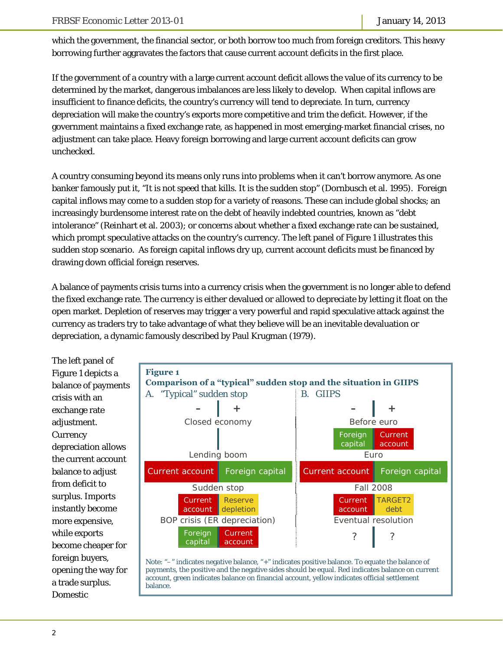which the government, the financial sector, or both borrow too much from foreign creditors. This heavy borrowing further aggravates the factors that cause current account deficits in the first place.

If the government of a country with a large current account deficit allows the value of its currency to be determined by the market, dangerous imbalances are less likely to develop. When capital inflows are insufficient to finance deficits, the country's currency will tend to depreciate. In turn, currency depreciation will make the country's exports more competitive and trim the deficit. However, if the government maintains a fixed exchange rate, as happened in most emerging-market financial crises, no adjustment can take place. Heavy foreign borrowing and large current account deficits can grow unchecked.

A country consuming beyond its means only runs into problems when it can't borrow anymore. As one banker famously put it, "It is not speed that kills. It is the sudden stop" (Dornbusch et al. 1995). Foreign capital inflows may come to a sudden stop for a variety of reasons. These can include global shocks; an increasingly burdensome interest rate on the debt of heavily indebted countries, known as "debt intolerance" (Reinhart et al. 2003); or concerns about whether a fixed exchange rate can be sustained, which prompt speculative attacks on the country's currency. The left panel of Figure 1 illustrates this sudden stop scenario. As foreign capital inflows dry up, current account deficits must be financed by drawing down official foreign reserves.

A balance of payments crisis turns into a currency crisis when the government is no longer able to defend the fixed exchange rate. The currency is either devalued or allowed to depreciate by letting it float on the open market. Depletion of reserves may trigger a very powerful and rapid speculative attack against the currency as traders try to take advantage of what they believe will be an inevitable devaluation or depreciation, a dynamic famously described by Paul Krugman (1979).

The left panel of Figure 1 depicts a balance of payments crisis with an exchange rate adjustment. **Currency** depreciation allows the current account balance to adjust from deficit to surplus. Imports instantly become more expensive, while exports become cheaper for foreign buyers, opening the way for a trade surplus. Domestic

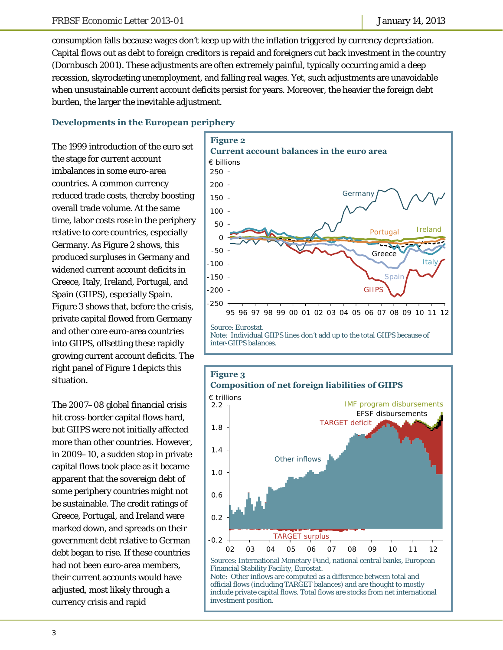consumption falls because wages don't keep up with the inflation triggered by currency depreciation. Capital flows out as debt to foreign creditors is repaid and foreigners cut back investment in the country (Dornbusch 2001). These adjustments are often extremely painful, typically occurring amid a deep recession, skyrocketing unemployment, and falling real wages. Yet, such adjustments are unavoidable when unsustainable current account deficits persist for years. Moreover, the heavier the foreign debt burden, the larger the inevitable adjustment.

#### **Developments in the European periphery**

The 1999 introduction of the euro set the stage for current account imbalances in some euro-area countries. A common currency reduced trade costs, thereby boosting overall trade volume. At the same time, labor costs rose in the periphery relative to core countries, especially Germany. As Figure 2 shows, this produced surpluses in Germany and widened current account deficits in Greece, Italy, Ireland, Portugal, and Spain (GIIPS), especially Spain. Figure 3 shows that, before the crisis, private capital flowed from Germany and other core euro-area countries into GIIPS, offsetting these rapidly growing current account deficits. The right panel of Figure 1 depicts this situation.

The 2007–08 global financial crisis hit cross-border capital flows hard, but GIIPS were not initially affected more than other countries. However, in 2009–10, a sudden stop in private capital flows took place as it became apparent that the sovereign debt of some periphery countries might not be sustainable. The credit ratings of Greece, Portugal, and Ireland were marked down, and spreads on their government debt relative to German debt began to rise. If these countries had not been euro-area members, their current accounts would have adjusted, most likely through a currency crisis and rapid



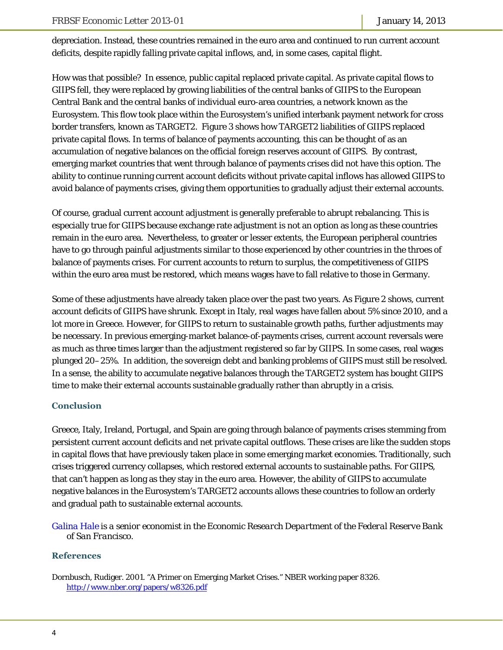depreciation. Instead, these countries remained in the euro area and continued to run current account deficits, despite rapidly falling private capital inflows, and, in some cases, capital flight.

How was that possible? In essence, public capital replaced private capital. As private capital flows to GIIPS fell, they were replaced by growing liabilities of the central banks of GIIPS to the European Central Bank and the central banks of individual euro-area countries, a network known as the Eurosystem. This flow took place within the Eurosystem's unified interbank payment network for cross border transfers, known as TARGET2. Figure 3 shows how TARGET2 liabilities of GIIPS replaced private capital flows. In terms of balance of payments accounting, this can be thought of as an accumulation of negative balances on the official foreign reserves account of GIIPS. By contrast, emerging market countries that went through balance of payments crises did not have this option. The ability to continue running current account deficits without private capital inflows has allowed GIIPS to avoid balance of payments crises, giving them opportunities to gradually adjust their external accounts.

Of course, gradual current account adjustment is generally preferable to abrupt rebalancing. This is especially true for GIIPS because exchange rate adjustment is not an option as long as these countries remain in the euro area. Nevertheless, to greater or lesser extents, the European peripheral countries have to go through painful adjustments similar to those experienced by other countries in the throes of balance of payments crises. For current accounts to return to surplus, the competitiveness of GIIPS within the euro area must be restored, which means wages have to fall relative to those in Germany.

Some of these adjustments have already taken place over the past two years. As Figure 2 shows, current account deficits of GIIPS have shrunk. Except in Italy, real wages have fallen about 5% since 2010, and a lot more in Greece. However, for GIIPS to return to sustainable growth paths, further adjustments may be necessary. In previous emerging-market balance-of-payments crises, current account reversals were as much as three times larger than the adjustment registered so far by GIIPS. In some cases, real wages plunged 20–25%. In addition, the sovereign debt and banking problems of GIIPS must still be resolved. In a sense, the ability to accumulate negative balances through the TARGET2 system has bought GIIPS time to make their external accounts sustainable gradually rather than abruptly in a crisis.

## **Conclusion**

Greece, Italy, Ireland, Portugal, and Spain are going through balance of payments crises stemming from persistent current account deficits and net private capital outflows. These crises are like the sudden stops in capital flows that have previously taken place in some emerging market economies. Traditionally, such crises triggered currency collapses, which restored external accounts to sustainable paths. For GIIPS, that can't happen as long as they stay in the euro area. However, the ability of GIIPS to accumulate negative balances in the Eurosystem's TARGET2 accounts allows these countries to follow an orderly and gradual path to sustainable external accounts.

*[Galina Hale is](http://www.frbsf.org/economics/economists/staff.php?ghale) a senior economist in the Economic Research Department of the Federal Reserve Bank of San Francisco.* 

#### **References**

Dornbusch, Rudiger. 2001. "A Primer on Emerging Market Crises." NBER working paper 8326. http://www.nber.org/papers/w8326.pdf